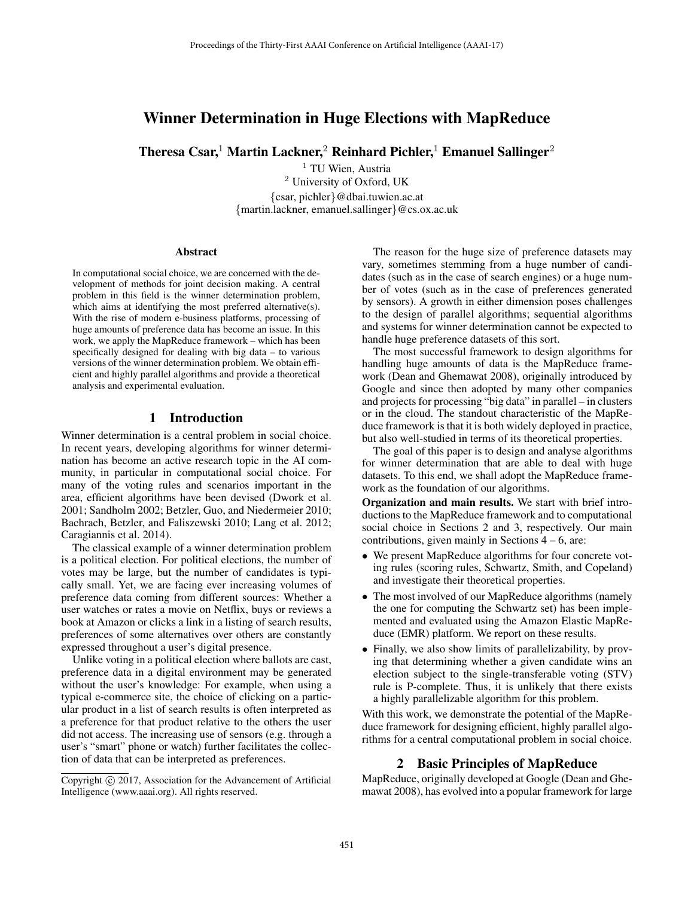# Winner Determination in Huge Elections with MapReduce

Theresa Csar,<sup>1</sup> Martin Lackner,<sup>2</sup> Reinhard Pichler,<sup>1</sup> Emanuel Sallinger<sup>2</sup>

<sup>1</sup> TU Wien, Austria <sup>2</sup> University of Oxford, UK {csar, pichler}@dbai.tuwien.ac.at {martin.lackner, emanuel.sallinger}@cs.ox.ac.uk

#### Abstract

In computational social choice, we are concerned with the development of methods for joint decision making. A central problem in this field is the winner determination problem, which aims at identifying the most preferred alternative(s). With the rise of modern e-business platforms, processing of huge amounts of preference data has become an issue. In this work, we apply the MapReduce framework – which has been specifically designed for dealing with big data – to various versions of the winner determination problem. We obtain efficient and highly parallel algorithms and provide a theoretical analysis and experimental evaluation.

# 1 Introduction

Winner determination is a central problem in social choice. In recent years, developing algorithms for winner determination has become an active research topic in the AI community, in particular in computational social choice. For many of the voting rules and scenarios important in the area, efficient algorithms have been devised (Dwork et al. 2001; Sandholm 2002; Betzler, Guo, and Niedermeier 2010; Bachrach, Betzler, and Faliszewski 2010; Lang et al. 2012; Caragiannis et al. 2014).

The classical example of a winner determination problem is a political election. For political elections, the number of votes may be large, but the number of candidates is typically small. Yet, we are facing ever increasing volumes of preference data coming from different sources: Whether a user watches or rates a movie on Netflix, buys or reviews a book at Amazon or clicks a link in a listing of search results, preferences of some alternatives over others are constantly expressed throughout a user's digital presence.

Unlike voting in a political election where ballots are cast, preference data in a digital environment may be generated without the user's knowledge: For example, when using a typical e-commerce site, the choice of clicking on a particular product in a list of search results is often interpreted as a preference for that product relative to the others the user did not access. The increasing use of sensors (e.g. through a user's "smart" phone or watch) further facilitates the collection of data that can be interpreted as preferences.

The reason for the huge size of preference datasets may vary, sometimes stemming from a huge number of candidates (such as in the case of search engines) or a huge number of votes (such as in the case of preferences generated by sensors). A growth in either dimension poses challenges to the design of parallel algorithms; sequential algorithms and systems for winner determination cannot be expected to handle huge preference datasets of this sort.

The most successful framework to design algorithms for handling huge amounts of data is the MapReduce framework (Dean and Ghemawat 2008), originally introduced by Google and since then adopted by many other companies and projects for processing "big data" in parallel – in clusters or in the cloud. The standout characteristic of the MapReduce framework is that it is both widely deployed in practice, but also well-studied in terms of its theoretical properties.

The goal of this paper is to design and analyse algorithms for winner determination that are able to deal with huge datasets. To this end, we shall adopt the MapReduce framework as the foundation of our algorithms.

Organization and main results. We start with brief introductions to the MapReduce framework and to computational social choice in Sections 2 and 3, respectively. Our main contributions, given mainly in Sections  $4 - 6$ , are:

- We present MapReduce algorithms for four concrete voting rules (scoring rules, Schwartz, Smith, and Copeland) and investigate their theoretical properties.
- The most involved of our MapReduce algorithms (namely the one for computing the Schwartz set) has been implemented and evaluated using the Amazon Elastic MapReduce (EMR) platform. We report on these results.
- Finally, we also show limits of parallelizability, by proving that determining whether a given candidate wins an election subject to the single-transferable voting (STV) rule is P-complete. Thus, it is unlikely that there exists a highly parallelizable algorithm for this problem.

With this work, we demonstrate the potential of the MapReduce framework for designing efficient, highly parallel algorithms for a central computational problem in social choice.

### 2 Basic Principles of MapReduce

MapReduce, originally developed at Google (Dean and Ghemawat 2008), has evolved into a popular framework for large

Copyright  $\odot$  2017, Association for the Advancement of Artificial Intelligence (www.aaai.org). All rights reserved.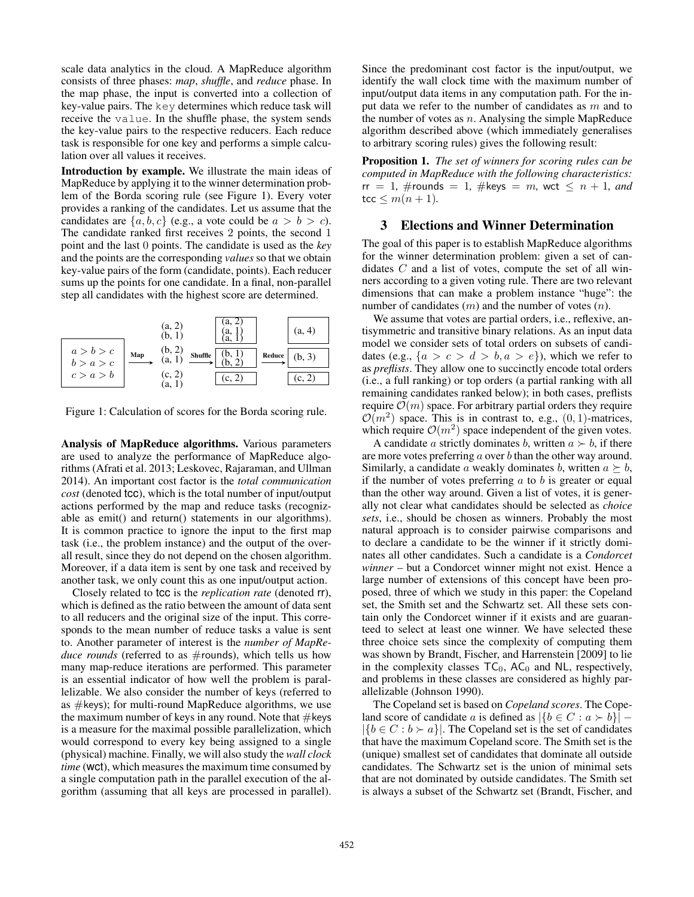scale data analytics in the cloud. A MapReduce algorithm consists of three phases: *map*, *shuffle*, and *reduce* phase. In the map phase, the input is converted into a collection of key-value pairs. The key determines which reduce task will receive the value. In the shuffle phase, the system sends the key-value pairs to the respective reducers. Each reduce task is responsible for one key and performs a simple calculation over all values it receives.

Introduction by example. We illustrate the main ideas of MapReduce by applying it to the winner determination problem of the Borda scoring rule (see Figure 1). Every voter provides a ranking of the candidates. Let us assume that the candidates are  $\{a, b, c\}$  (e.g., a vote could be  $a > b > c$ ). The candidate ranked first receives 2 points, the second 1 point and the last 0 points. The candidate is used as the *key* and the points are the corresponding *values* so that we obtain key-value pairs of the form (candidate, points). Each reducer sums up the points for one candidate. In a final, non-parallel step all candidates with the highest score are determined.

|                        |     | (a, 2)<br>(b, 1)              | .a,<br>а, | (a, 4)             |
|------------------------|-----|-------------------------------|-----------|--------------------|
| a > b > c<br>b > a > c | Map | $(b, 2)$<br>(a, 1)<br>Shuffle | Reduce    | (b, 3)             |
| c > a > b              |     | (c, 2)<br>ιa,                 | (c, 2)    | c. $2 \frac{1}{2}$ |

Figure 1: Calculation of scores for the Borda scoring rule.

Analysis of MapReduce algorithms. Various parameters are used to analyze the performance of MapReduce algorithms (Afrati et al. 2013; Leskovec, Rajaraman, and Ullman 2014). An important cost factor is the *total communication cost* (denoted tcc), which is the total number of input/output actions performed by the map and reduce tasks (recognizable as emit() and return() statements in our algorithms). It is common practice to ignore the input to the first map task (i.e., the problem instance) and the output of the overall result, since they do not depend on the chosen algorithm. Moreover, if a data item is sent by one task and received by another task, we only count this as one input/output action.

Closely related to tcc is the *replication rate* (denoted rr), which is defined as the ratio between the amount of data sent to all reducers and the original size of the input. This corresponds to the mean number of reduce tasks a value is sent to. Another parameter of interest is the *number of MapRe*duce rounds (referred to as #rounds), which tells us how many map-reduce iterations are performed. This parameter is an essential indicator of how well the problem is parallelizable. We also consider the number of keys (referred to as  $#keys$ ); for multi-round MapReduce algorithms, we use the maximum number of keys in any round. Note that  $\#$ keys is a measure for the maximal possible parallelization, which would correspond to every key being assigned to a single (physical) machine. Finally, we will also study the *wall clock time* (wct), which measures the maximum time consumed by a single computation path in the parallel execution of the algorithm (assuming that all keys are processed in parallel).

Since the predominant cost factor is the input/output, we identify the wall clock time with the maximum number of input/output data items in any computation path. For the input data we refer to the number of candidates as m and to the number of votes as  $n$ . Analysing the simple MapReduce algorithm described above (which immediately generalises to arbitrary scoring rules) gives the following result:

Proposition 1. *The set of winners for scoring rules can be computed in MapReduce with the following characteristics:*  $rr = 1$ , #rounds = 1, #keys = m, wct  $\leq n + 1$ , and  $tcc \leq m(n + 1)$ .

# 3 Elections and Winner Determination

The goal of this paper is to establish MapReduce algorithms for the winner determination problem: given a set of candidates  $C$  and a list of votes, compute the set of all winners according to a given voting rule. There are two relevant dimensions that can make a problem instance "huge": the number of candidates  $(m)$  and the number of votes  $(n)$ .

We assume that votes are partial orders, i.e., reflexive, antisymmetric and transitive binary relations. As an input data model we consider sets of total orders on subsets of candidates (e.g.,  $\{a > c > d > b, a > e\}$ ), which we refer to as *preflists*. They allow one to succinctly encode total orders (i.e., a full ranking) or top orders (a partial ranking with all remaining candidates ranked below); in both cases, preflists require  $\mathcal{O}(m)$  space. For arbitrary partial orders they require  $\mathcal{O}(m^2)$  space. This is in contrast to, e.g.,  $(0, 1)$ -matrices, which require  $\mathcal{O}(m^2)$  space independent of the given votes.

A candidate a strictly dominates b, written  $a \succ b$ , if there are more votes preferring  $a$  over  $b$  than the other way around. Similarly, a candidate a weakly dominates b, written  $a \succeq b$ , if the number of votes preferring  $a$  to  $b$  is greater or equal than the other way around. Given a list of votes, it is generally not clear what candidates should be selected as *choice sets*, i.e., should be chosen as winners. Probably the most natural approach is to consider pairwise comparisons and to declare a candidate to be the winner if it strictly dominates all other candidates. Such a candidate is a *Condorcet winner* – but a Condorcet winner might not exist. Hence a large number of extensions of this concept have been proposed, three of which we study in this paper: the Copeland set, the Smith set and the Schwartz set. All these sets contain only the Condorcet winner if it exists and are guaranteed to select at least one winner. We have selected these three choice sets since the complexity of computing them was shown by Brandt, Fischer, and Harrenstein [2009] to lie in the complexity classes  $TC_0$ ,  $AC_0$  and NL, respectively, and problems in these classes are considered as highly parallelizable (Johnson 1990).

The Copeland set is based on *Copeland scores*. The Copeland score of candidate a is defined as  $|\{b \in C : a \succ b\}|$  –  $|\{b \in C : b \succ a\}|$ . The Copeland set is the set of candidates that have the maximum Copeland score. The Smith set is the (unique) smallest set of candidates that dominate all outside candidates. The Schwartz set is the union of minimal sets that are not dominated by outside candidates. The Smith set is always a subset of the Schwartz set (Brandt, Fischer, and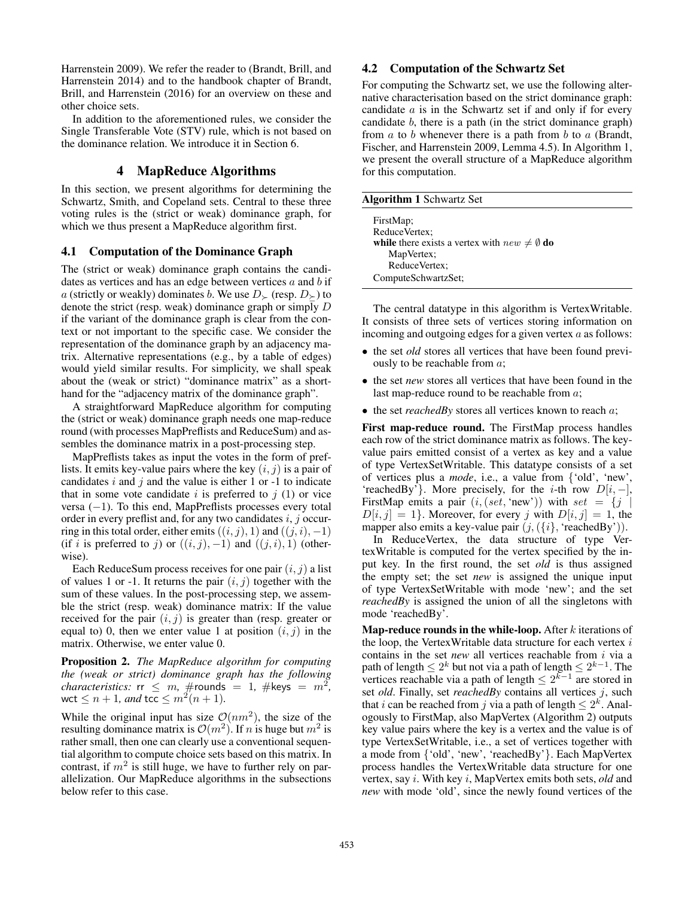Harrenstein 2009). We refer the reader to (Brandt, Brill, and Harrenstein 2014) and to the handbook chapter of Brandt, Brill, and Harrenstein (2016) for an overview on these and other choice sets.

In addition to the aforementioned rules, we consider the Single Transferable Vote (STV) rule, which is not based on the dominance relation. We introduce it in Section 6.

# 4 MapReduce Algorithms

In this section, we present algorithms for determining the Schwartz, Smith, and Copeland sets. Central to these three voting rules is the (strict or weak) dominance graph, for which we thus present a MapReduce algorithm first.

### 4.1 Computation of the Dominance Graph

The (strict or weak) dominance graph contains the candidates as vertices and has an edge between vertices  $a$  and  $b$  if a (strictly or weakly) dominates b. We use  $D_{\succ}$  (resp.  $D_{\succeq}$ ) to denote the strict (resp. weak) dominance graph or simply  $D$ if the variant of the dominance graph is clear from the context or not important to the specific case. We consider the representation of the dominance graph by an adjacency matrix. Alternative representations (e.g., by a table of edges) would yield similar results. For simplicity, we shall speak about the (weak or strict) "dominance matrix" as a shorthand for the "adjacency matrix of the dominance graph".

A straightforward MapReduce algorithm for computing the (strict or weak) dominance graph needs one map-reduce round (with processes MapPreflists and ReduceSum) and assembles the dominance matrix in a post-processing step.

MapPreflists takes as input the votes in the form of preflists. It emits key-value pairs where the key  $(i, j)$  is a pair of candidates  $i$  and  $j$  and the value is either 1 or -1 to indicate that in some vote candidate  $i$  is preferred to  $j(1)$  or vice versa (−1). To this end, MapPreflists processes every total order in every preflist and, for any two candidates  $i, j$  occurring in this total order, either emits  $((i, j), 1)$  and  $((j, i), -1)$ (if i is preferred to j) or  $((i, j), -1)$  and  $((j, i), 1)$  (otherwise).

Each ReduceSum process receives for one pair  $(i, j)$  a list of values 1 or -1. It returns the pair  $(i, j)$  together with the sum of these values. In the post-processing step, we assemble the strict (resp. weak) dominance matrix: If the value received for the pair  $(i, j)$  is greater than (resp. greater or equal to) 0, then we enter value 1 at position  $(i, j)$  in the matrix. Otherwise, we enter value 0.

Proposition 2. *The MapReduce algorithm for computing the (weak or strict) dominance graph has the following characteristics:*  $rr \leq m$ ,  $\#$ rounds = 1,  $\#$ keys =  $m^2$ , wct  $\leq n+1$ *, and* tcc  $\leq m^2(n+1)$ *.* 

While the original input has size  $\mathcal{O}(nm^2)$ , the size of the resulting dominance matrix is  $\mathcal{O}(m^2)$ . If n is huge but  $m^2$  is rather small, then one can clearly use a conventional sequential algorithm to compute choice sets based on this matrix. In contrast, if  $m^2$  is still huge, we have to further rely on parallelization. Our MapReduce algorithms in the subsections below refer to this case.

### 4.2 Computation of the Schwartz Set

For computing the Schwartz set, we use the following alternative characterisation based on the strict dominance graph: candidate a is in the Schwartz set if and only if for every candidate b, there is a path (in the strict dominance graph) from  $a$  to  $b$  whenever there is a path from  $b$  to  $a$  (Brandt, Fischer, and Harrenstein 2009, Lemma 4.5). In Algorithm 1, we present the overall structure of a MapReduce algorithm for this computation.

| <b>Algorithm 1 Schwartz Set</b>                          |  |  |  |  |
|----------------------------------------------------------|--|--|--|--|
| FirstMap;                                                |  |  |  |  |
| ReduceVertex;                                            |  |  |  |  |
| while there exists a vertex with $new \neq \emptyset$ do |  |  |  |  |
| MapVertex;                                               |  |  |  |  |
| ReduceVertex;                                            |  |  |  |  |
| ComputeSchwartzSet;                                      |  |  |  |  |

The central datatype in this algorithm is VertexWritable. It consists of three sets of vertices storing information on incoming and outgoing edges for a given vertex  $a$  as follows:

- the set *old* stores all vertices that have been found previously to be reachable from a;
- the set *new* stores all vertices that have been found in the last map-reduce round to be reachable from a;
- the set *reachedBy* stores all vertices known to reach a;

First map-reduce round. The FirstMap process handles each row of the strict dominance matrix as follows. The keyvalue pairs emitted consist of a vertex as key and a value of type VertexSetWritable. This datatype consists of a set of vertices plus a *mode*, i.e., a value from {'old', 'new', 'reachedBy'}. More precisely, for the *i*-th row  $D[i, -]$ , 'reachedBy'}. More precisely, for the *i*-th row  $D[i, -]$ ,<br>FirstMan emits a pair  $(i \text{ (set 'new')})$  with  $set = \{i \}$ FirstMap emits a pair  $(i, (set, 'new'))$  with  $set = \{j | D[i, j] = 1\}$  Moreover for every j with  $D[i, j] = 1$  the  $D[i, j]=1$ . Moreover, for every j with  $D[i, j]=1$ , the mapper also emits a key-value pair  $(j,({i}, 'i), 'reachedBy')).$ 

In ReduceVertex, the data structure of type VertexWritable is computed for the vertex specified by the input key. In the first round, the set *old* is thus assigned the empty set; the set *new* is assigned the unique input of type VertexSetWritable with mode 'new'; and the set *reachedBy* is assigned the union of all the singletons with mode 'reachedBy'.

**Map-reduce rounds in the while-loop.** After  $k$  iterations of the loop, the VertexWritable data structure for each vertex  $i$ contains in the set *new* all vertices reachable from i via a path of length  $\leq 2^k$  but not via a path of length  $\leq 2^{k-1}$ . The vertices reachable via a path of length  $\leq 2^{k-1}$  are stored in set *old*. Finally, set *reachedBy* contains all vertices j, such that *i* can be reached from *j* via a path of length  $\leq 2^k$ . Analogously to FirstMap, also MapVertex (Algorithm 2) outputs key value pairs where the key is a vertex and the value is of type VertexSetWritable, i.e., a set of vertices together with a mode from {'old', 'new', 'reachedBy'}. Each MapVertex process handles the VertexWritable data structure for one vertex, say i. With key i, MapVertex emits both sets, *old* and *new* with mode 'old', since the newly found vertices of the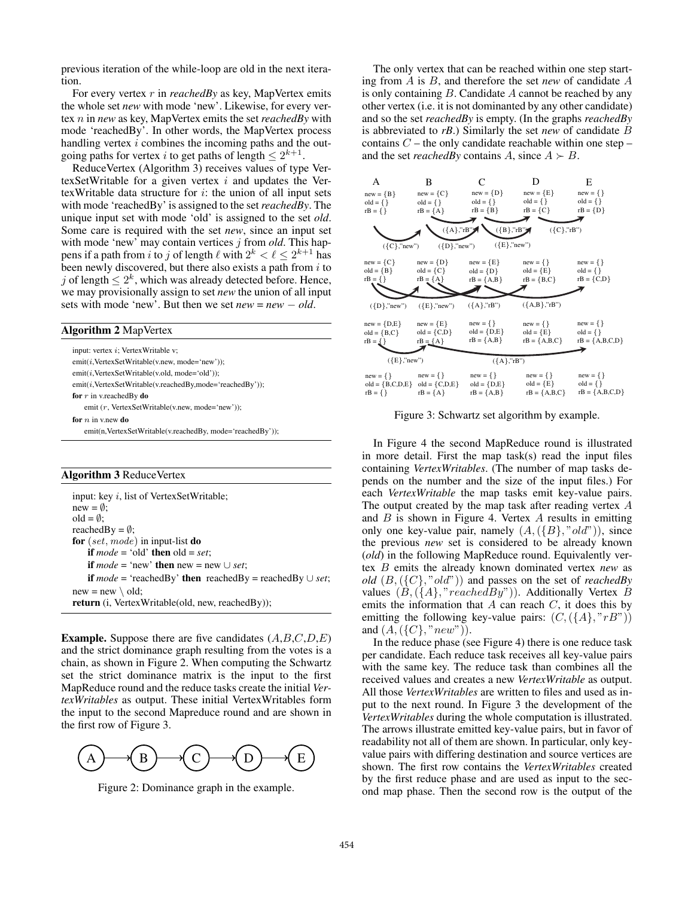previous iteration of the while-loop are old in the next iteration.

For every vertex r in *reachedBy* as key, MapVertex emits the whole set *new* with mode 'new'. Likewise, for every vertex n in *new* as key, MapVertex emits the set *reachedBy* with mode 'reachedBy'. In other words, the MapVertex process handling vertex i combines the incoming paths and the outgoing paths for vertex i to get paths of length  $\leq 2^{k+1}$ .

ReduceVertex (Algorithm 3) receives values of type VertexSetWritable for a given vertex  $i$  and updates the VertexWritable data structure for  $i$ : the union of all input sets with mode 'reachedBy' is assigned to the set*reachedBy*. The unique input set with mode 'old' is assigned to the set *old*. Some care is required with the set *new*, since an input set with mode 'new' may contain vertices j from *old*. This happens if a path from i to j of length  $\ell$  with  $2^k < \ell \leq 2^{k+1}$  has been newly discovered but there also exists a path from i to been newly discovered, but there also exists a path from  $i$  to j of length  $\leq 2^k$ , which was already detected before. Hence, we may provisionally assign to set *new* the union of all input sets with mode 'new'. But then we set *new* = *new* − *old*.

### Algorithm 2 MapVertex

input: vertex i: VertexWritable v; emit(i,VertexSetWritable(v.new, mode='new')); emit(i,VertexSetWritable(v.old, mode='old')); emit(i,VertexSetWritable(v.reachedBy,mode='reachedBy')); for  $r$  in v.reachedBy do emit (r, VertexSetWritable(v.new, mode='new')); for  $n$  in v.new do emit(n,VertexSetWritable(v.reachedBy, mode='reachedBy'));

#### Algorithm 3 ReduceVertex

input: key i, list of VertexSetWritable;  $new = \emptyset$ ; old =  $\emptyset$ ; reachedBy =  $\emptyset$ ; for  $(set, mode)$  in input-list do if  $mode = 'old'$  then  $old = set$ ; **if**  $mode = 'new'$  **then**  $new = new \cup set$ ; **if**  $mode = 'reachedBy'$  **then**  $reachedBy = reachedBy ∪ set;$  $new = new \setminus old;$ return (i, VertexWritable(old, new, reachedBy));

**Example.** Suppose there are five candidates  $(A, B, C, D, E)$ and the strict dominance graph resulting from the votes is a chain, as shown in Figure 2. When computing the Schwartz set the strict dominance matrix is the input to the first MapReduce round and the reduce tasks create the initial *VertexWritables* as output. These initial VertexWritables form the input to the second Mapreduce round and are shown in the first row of Figure 3.



Figure 2: Dominance graph in the example.

The only vertex that can be reached within one step starting from A is B, and therefore the set *new* of candidate A is only containing  $B$ . Candidate  $A$  cannot be reached by any other vertex (i.e. it is not dominanted by any other candidate) and so the set *reachedBy* is empty. (In the graphs *reachedBy* is abbreviated to *rB*.) Similarly the set *new* of candidate B contains  $C$  – the only candidate reachable within one step – and the set *reachedBy* contains A, since  $A \succ B$ .



Figure 3: Schwartz set algorithm by example.

In Figure 4 the second MapReduce round is illustrated in more detail. First the map task(s) read the input files containing *VertexWritables*. (The number of map tasks depends on the number and the size of the input files.) For each *VertexWritable* the map tasks emit key-value pairs. The output created by the map task after reading vertex A and  $B$  is shown in Figure 4. Vertex  $A$  results in emitting only one key-value pair, namely  $(A, (\{B\}, "old"))$ , since the previous *new* set is considered to be already known (*old*) in the following MapReduce round. Equivalently vertex B emits the already known dominated vertex *new* as *old* (B,({C}, "old")) and passes on the set of *reachedBy* values  $(B, (\{A\}, "reachedBy"))$ . Additionally Vertex B emits the information that  $A$  can reach  $C$ , it does this by emitting the following key-value pairs:  $(C, (\{A\}, "rB")$ and  $(A, (\{C\}, "new"))$ .

In the reduce phase (see Figure 4) there is one reduce task per candidate. Each reduce task receives all key-value pairs with the same key. The reduce task than combines all the received values and creates a new *VertexWritable* as output. All those *VertexWritables* are written to files and used as input to the next round. In Figure 3 the development of the *VertexWritables* during the whole computation is illustrated. The arrows illustrate emitted key-value pairs, but in favor of readability not all of them are shown. In particular, only keyvalue pairs with differing destination and source vertices are shown. The first row contains the *VertexWritables* created by the first reduce phase and are used as input to the second map phase. Then the second row is the output of the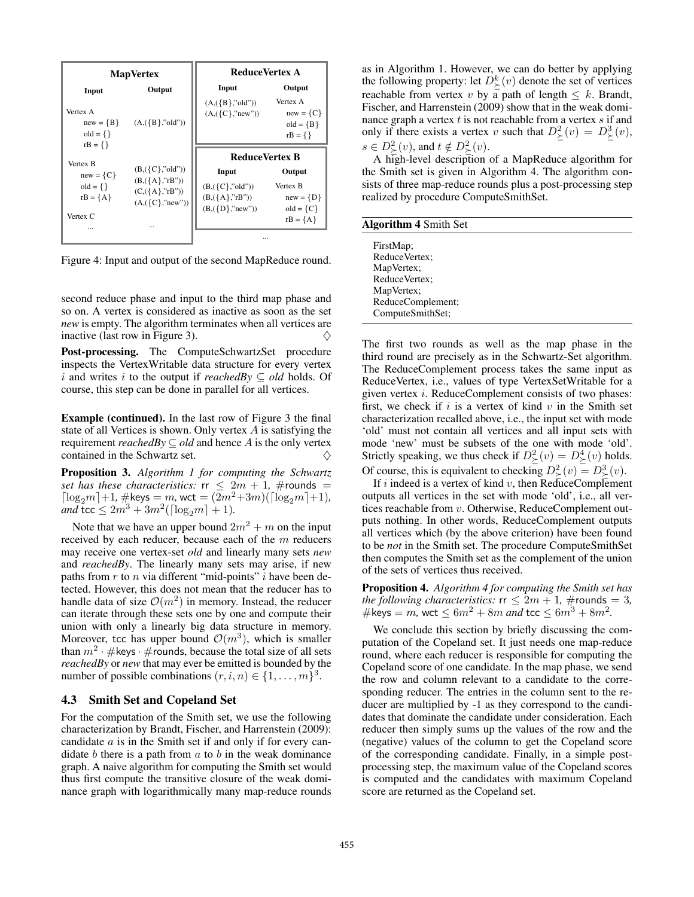

Figure 4: Input and output of the second MapReduce round.

second reduce phase and input to the third map phase and so on. A vertex is considered as inactive as soon as the set *new* is empty. The algorithm terminates when all vertices are inactive (last row in Figure 3).  $\diamondsuit$ 

Post-processing. The ComputeSchwartzSet procedure inspects the VertexWritable data structure for every vertex i and writes i to the output if *reachedBy*  $\subseteq$  *old* holds. Of course, this step can be done in parallel for all vertices.

Example (continued). In the last row of Figure 3 the final state of all Vertices is shown. Only vertex A is satisfying the requirement *reachedBy*  $\subseteq$  *old* and hence A is the only vertex contained in the Schwartz set.  $\Diamond$ 

Proposition 3. *Algorithm 1 for computing the Schwartz set has these characteristics:*  $rr \leq 2m + 1$ , #rounds =  $\lceil \log_2 m \rceil + 1$ , #keys = m, wct =  $(2m^2 + 3m)(\lceil \log_2 m \rceil + 1)$ , *and* tcc  $\leq 2m^3 + 3m^2(\lceil \log_2 m \rceil + 1)$ *.* 

Note that we have an upper bound  $2m^2 + m$  on the input received by each reducer, because each of the m reducers may receive one vertex-set *old* and linearly many sets *new* and *reachedBy*. The linearly many sets may arise, if new paths from  $r$  to  $n$  via different "mid-points"  $i$  have been detected. However, this does not mean that the reducer has to handle data of size  $\mathcal{O}(m^2)$  in memory. Instead, the reducer can iterate through these sets one by one and compute their union with only a linearly big data structure in memory. Moreover, tcc has upper bound  $\mathcal{O}(m^3)$ , which is smaller than  $m^2 \cdot \#$ keys ·  $\#$ rounds, because the total size of all sets *reachedBy* or *new* that may ever be emitted is bounded by the number of possible combinations  $(r, i, n) \in \{1, \ldots, m\}^3$ .

### 4.3 Smith Set and Copeland Set

For the computation of the Smith set, we use the following characterization by Brandt, Fischer, and Harrenstein (2009): candidate a is in the Smith set if and only if for every candidate  $b$  there is a path from  $a$  to  $b$  in the weak dominance graph. A naive algorithm for computing the Smith set would thus first compute the transitive closure of the weak dominance graph with logarithmically many map-reduce rounds

as in Algorithm 1. However, we can do better by applying the following property: let  $D_{\succeq}^{k}(v)$  denote the set of vertices<br>reachable from vertex *x*; by a path of length  $\leq k$ . Brandt reachable from vertex v by  $\overline{a}$  path of length  $\leq k$ . Brandt, Fischer, and Harrenstein (2009) show that in the weak dominance graph a vertex  $t$  is not reachable from a vertex  $s$  if and only if there exists a vertex v such that  $D^2_{\succeq}(v) = D^3_{\succeq}(v)$ ,  $s \in D^2_{\succ}(v)$ , and  $t \notin D^2_{\succ}(v)$ .<br>A high-level description

A high-level description of a MapReduce algorithm for the Smith set is given in Algorithm 4. The algorithm consists of three map-reduce rounds plus a post-processing step realized by procedure ComputeSmithSet.

| <b>Algorithm 4 Smith Set</b> |  |  |  |
|------------------------------|--|--|--|
|------------------------------|--|--|--|

| FirstMap;<br>ReduceVertex;<br>MapVertex;<br>ReduceVertex;<br>MapVertex;<br>ReduceComplement; |
|----------------------------------------------------------------------------------------------|
| ComputeSmithSet;                                                                             |
|                                                                                              |

The first two rounds as well as the map phase in the third round are precisely as in the Schwartz-Set algorithm. The ReduceComplement process takes the same input as ReduceVertex, i.e., values of type VertexSetWritable for a given vertex i. ReduceComplement consists of two phases: first, we check if  $i$  is a vertex of kind  $v$  in the Smith set characterization recalled above, i.e., the input set with mode 'old' must not contain all vertices and all input sets with mode 'new' must be subsets of the one with mode 'old'. Strictly speaking, we thus check if  $D^2_{\leq}(v) = D^4_{\geq}(v)$  holds. Of course, this is equivalent to checking  $D^2_{\succ}(v) = D^3_{\succ}(v)$ .<br>If *i* indeed is a vertex of kind *v* then ReduceComplement

If i indeed is a vertex of kind v, then ReduceComplement outputs all vertices in the set with mode 'old', i.e., all vertices reachable from v. Otherwise, ReduceComplement outputs nothing. In other words, ReduceComplement outputs all vertices which (by the above criterion) have been found to be *not* in the Smith set. The procedure ComputeSmithSet then computes the Smith set as the complement of the union of the sets of vertices thus received.

Proposition 4. *Algorithm 4 for computing the Smith set has the following characteristics:*  $rr < 2m + 1$ , #rounds = 3, #keys = m, wct  $\leq 6m^2 + 8m$  and tcc  $\leq 6m^3 + 8m^2$ .

We conclude this section by briefly discussing the computation of the Copeland set. It just needs one map-reduce round, where each reducer is responsible for computing the Copeland score of one candidate. In the map phase, we send the row and column relevant to a candidate to the corresponding reducer. The entries in the column sent to the reducer are multiplied by -1 as they correspond to the candidates that dominate the candidate under consideration. Each reducer then simply sums up the values of the row and the (negative) values of the column to get the Copeland score of the corresponding candidate. Finally, in a simple postprocessing step, the maximum value of the Copeland scores is computed and the candidates with maximum Copeland score are returned as the Copeland set.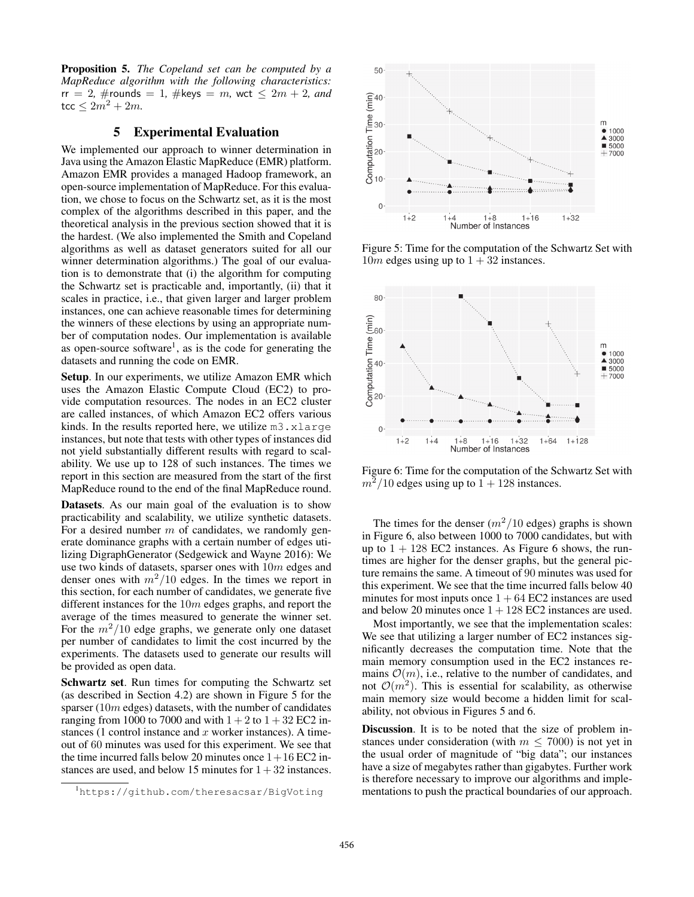Proposition 5. *The Copeland set can be computed by a MapReduce algorithm with the following characteristics:*  $rr = 2$ , #rounds = 1, #keys = m, wct  $\leq 2m + 2$ , and  $\,\,$ tcc  $\leq 2m^2 + 2m$ .

# 5 Experimental Evaluation

We implemented our approach to winner determination in Java using the Amazon Elastic MapReduce (EMR) platform. Amazon EMR provides a managed Hadoop framework, an open-source implementation of MapReduce. For this evaluation, we chose to focus on the Schwartz set, as it is the most complex of the algorithms described in this paper, and the theoretical analysis in the previous section showed that it is the hardest. (We also implemented the Smith and Copeland algorithms as well as dataset generators suited for all our winner determination algorithms.) The goal of our evaluation is to demonstrate that (i) the algorithm for computing the Schwartz set is practicable and, importantly, (ii) that it scales in practice, i.e., that given larger and larger problem instances, one can achieve reasonable times for determining the winners of these elections by using an appropriate number of computation nodes. Our implementation is available as open-source software1, as is the code for generating the datasets and running the code on EMR.

Setup. In our experiments, we utilize Amazon EMR which uses the Amazon Elastic Compute Cloud (EC2) to provide computation resources. The nodes in an EC2 cluster are called instances, of which Amazon EC2 offers various kinds. In the results reported here, we utilize m3.xlarge instances, but note that tests with other types of instances did not yield substantially different results with regard to scalability. We use up to 128 of such instances. The times we report in this section are measured from the start of the first MapReduce round to the end of the final MapReduce round.

Datasets. As our main goal of the evaluation is to show practicability and scalability, we utilize synthetic datasets. For a desired number  $m$  of candidates, we randomly generate dominance graphs with a certain number of edges utilizing DigraphGenerator (Sedgewick and Wayne 2016): We use two kinds of datasets, sparser ones with 10<sup>m</sup> edges and denser ones with  $m^2/10$  edges. In the times we report in this section, for each number of candidates, we generate five different instances for the 10<sup>m</sup> edges graphs, and report the average of the times measured to generate the winner set. For the  $m^2/10$  edge graphs, we generate only one dataset per number of candidates to limit the cost incurred by the experiments. The datasets used to generate our results will be provided as open data.

Schwartz set. Run times for computing the Schwartz set (as described in Section 4.2) are shown in Figure 5 for the sparser  $(10m$  edges) datasets, with the number of candidates ranging from 1000 to 7000 and with  $1+2$  to  $1+32$  EC2 instances (1 control instance and  $x$  worker instances). A timeout of 60 minutes was used for this experiment. We see that the time incurred falls below 20 minutes once  $1+16$  EC2 instances are used, and below 15 minutes for  $1 + 32$  instances.



Figure 5: Time for the computation of the Schwartz Set with  $10m$  edges using up to  $1 + 32$  instances.



Figure 6: Time for the computation of the Schwartz Set with  $m^2/10$  edges using up to  $1 + 128$  instances.

The times for the denser  $(m^2/10 \text{ edges})$  graphs is shown in Figure 6, also between 1000 to 7000 candidates, but with up to  $1 + 128$  EC2 instances. As Figure 6 shows, the runtimes are higher for the denser graphs, but the general picture remains the same. A timeout of 90 minutes was used for this experiment. We see that the time incurred falls below 40 minutes for most inputs once  $1 + 64$  EC2 instances are used and below 20 minutes once  $1 + 128$  EC2 instances are used.

Most importantly, we see that the implementation scales: We see that utilizing a larger number of EC2 instances significantly decreases the computation time. Note that the main memory consumption used in the EC2 instances remains  $\mathcal{O}(m)$ , i.e., relative to the number of candidates, and not  $\mathcal{O}(m^2)$ . This is essential for scalability, as otherwise main memory size would become a hidden limit for scalability, not obvious in Figures 5 and 6.

Discussion. It is to be noted that the size of problem instances under consideration (with  $m \leq 7000$ ) is not yet in the usual order of magnitude of "big data"; our instances have a size of megabytes rather than gigabytes. Further work is therefore necessary to improve our algorithms and implementations to push the practical boundaries of our approach.

<sup>1</sup> https://github.com/theresacsar/BigVoting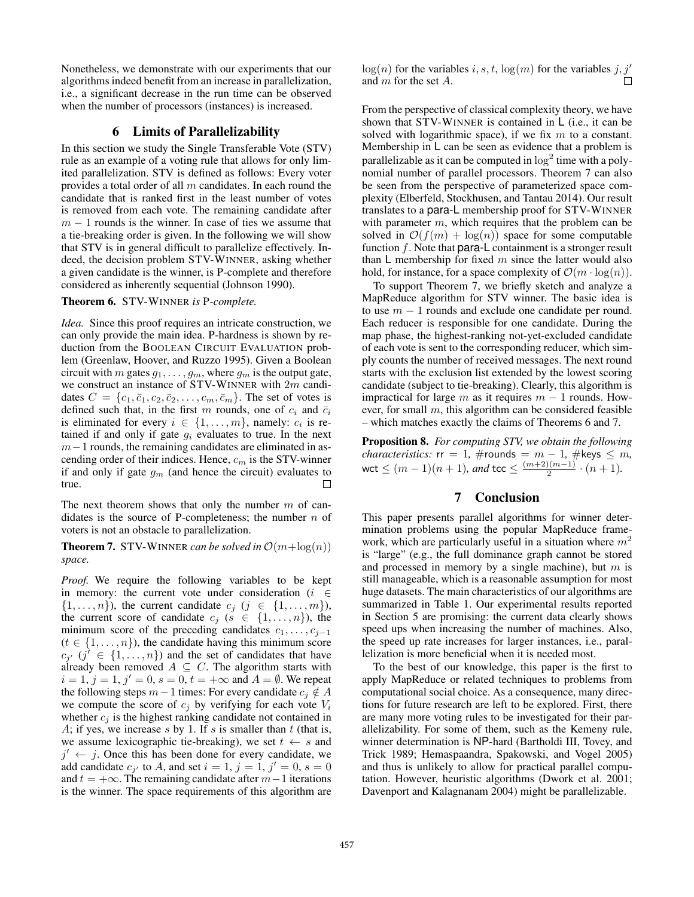Nonetheless, we demonstrate with our experiments that our algorithms indeed benefit from an increase in parallelization, i.e., a significant decrease in the run time can be observed when the number of processors (instances) is increased.

### 6 Limits of Parallelizability

In this section we study the Single Transferable Vote (STV) rule as an example of a voting rule that allows for only limited parallelization. STV is defined as follows: Every voter provides a total order of all  $m$  candidates. In each round the candidate that is ranked first in the least number of votes is removed from each vote. The remaining candidate after  $m - 1$  rounds is the winner. In case of ties we assume that a tie-breaking order is given. In the following we will show that STV is in general difficult to parallelize effectively. Indeed, the decision problem STV-WINNER, asking whether a given candidate is the winner, is P-complete and therefore considered as inherently sequential (Johnson 1990).

### Theorem 6. STV-WINNER *is* P*-complete.*

*Idea.* Since this proof requires an intricate construction, we can only provide the main idea. P-hardness is shown by reduction from the BOOLEAN CIRCUIT EVALUATION problem (Greenlaw, Hoover, and Ruzzo 1995). Given a Boolean circuit with m gates  $g_1, \ldots, g_m$ , where  $g_m$  is the output gate, we construct an instance of STV-WINNER with 2<sup>m</sup> candidates  $C = \{c_1, \bar{c}_1, c_2, \bar{c}_2, \ldots, c_m, \bar{c}_m\}$ . The set of votes is defined such that, in the first m rounds, one of  $c_i$  and  $\bar{c}_i$ is eliminated for every  $i \in \{1, \ldots, m\}$ , namely:  $c_i$  is retained if and only if gate  $g_i$  evaluates to true. In the next  $m-1$  rounds, the remaining candidates are eliminated in ascending order of their indices. Hence,  $c_m$  is the STV-winner if and only if gate  $g_m$  (and hence the circuit) evaluates to true. true.

The next theorem shows that only the number  $m$  of candidates is the source of P-completeness; the number  $n$  of voters is not an obstacle to parallelization.

**Theorem 7.** STV-WINNER *can be solved in*  $\mathcal{O}(m + \log(n))$ *space.*

*Proof.* We require the following variables to be kept in memory: the current vote under consideration ( $i \in$  $\{1,\ldots,n\}$ , the current candidate  $c_i$   $(j \in \{1,\ldots,m\})$ , the current score of candidate  $c_j$  ( $s \in \{1, \ldots, n\}$ ), the minimum score of the preceding candidates  $c_1, \ldots, c_{i-1}$  $(t \in \{1, \ldots, n\})$ , the candidate having this minimum score  $c_{j'}$   $(j' \in \{1, ..., n\})$  and the set of candidates that have<br>already been removed  $A \subset C$ . The algorithm starts with already been removed  $A \subseteq C$ . The algorithm starts with  $i = 1, j = 1, j' = 0, s = 0, t = +\infty$  and  $A = \emptyset$ . We repeat the following steps  $m-1$  times: For every candidate  $c_i \notin A$ we compute the score of  $c_i$  by verifying for each vote  $V_i$ whether  $c_j$  is the highest ranking candidate not contained in A; if yes, we increase s by 1. If s is smaller than  $t$  (that is, we assume lexicographic tie-breaking), we set  $t \leftarrow s$  and  $j' \leftarrow j$ . Once this has been done for every candidate, we add candidate  $c_{j'}$  to A, and set  $i = 1$ ,  $j = 1$ ,  $j' = 0$ ,  $s = 0$ <br>and  $t = +\infty$ . The remaining candidate after  $m-1$  iterations and  $t = +\infty$ . The remaining candidate after  $m-1$  iterations is the winner. The space requirements of this algorithm are

 $log(n)$  for the variables i, s, t,  $log(m)$  for the variables j, j' and m for the set A. and m for the set A.

From the perspective of classical complexity theory, we have shown that STV-WINNER is contained in  $\mathsf{L}$  (i.e., it can be solved with logarithmic space), if we fix  $m$  to a constant. Membership in  $\mathsf L$  can be seen as evidence that a problem is parallelizable as it can be computed in  $\log^2$  time with a polynomial number of parallel processors. Theorem 7 can also be seen from the perspective of parameterized space complexity (Elberfeld, Stockhusen, and Tantau 2014). Our result translates to a para-L membership proof for STV-WINNER with parameter  $m$ , which requires that the problem can be solved in  $\mathcal{O}(f(m) + \log(n))$  space for some computable function  $f$ . Note that para-L containment is a stronger result than  $\mathsf{L}$  membership for fixed m since the latter would also hold, for instance, for a space complexity of  $\mathcal{O}(m \cdot \log(n))$ .

To support Theorem 7, we briefly sketch and analyze a MapReduce algorithm for STV winner. The basic idea is to use  $m - 1$  rounds and exclude one candidate per round. Each reducer is responsible for one candidate. During the map phase, the highest-ranking not-yet-excluded candidate of each vote is sent to the corresponding reducer, which simply counts the number of received messages. The next round starts with the exclusion list extended by the lowest scoring candidate (subject to tie-breaking). Clearly, this algorithm is impractical for large m as it requires  $m - 1$  rounds. However, for small  $m$ , this algorithm can be considered feasible – which matches exactly the claims of Theorems 6 and 7.

Proposition 8. *For computing STV, we obtain the following characteristics:*  $rr = 1$ ,  $\#$ rounds =  $m - 1$ ,  $\#$ keys  $\leq m$ ,  $\text{wct} \leq (m-1)(n+1)$ , and  $\text{tcc} \leq \frac{(m+2)(m-1)}{2} \cdot (n+1)$ .

# 7 Conclusion

This paper presents parallel algorithms for winner determination problems using the popular MapReduce framework, which are particularly useful in a situation where  $m<sup>2</sup>$ is "large" (e.g., the full dominance graph cannot be stored and processed in memory by a single machine), but  $m$  is still manageable, which is a reasonable assumption for most huge datasets. The main characteristics of our algorithms are summarized in Table 1. Our experimental results reported in Section 5 are promising: the current data clearly shows speed ups when increasing the number of machines. Also, the speed up rate increases for larger instances, i.e., parallelization is more beneficial when it is needed most.

To the best of our knowledge, this paper is the first to apply MapReduce or related techniques to problems from computational social choice. As a consequence, many directions for future research are left to be explored. First, there are many more voting rules to be investigated for their parallelizability. For some of them, such as the Kemeny rule, winner determination is NP-hard (Bartholdi III, Tovey, and Trick 1989; Hemaspaandra, Spakowski, and Vogel 2005) and thus is unlikely to allow for practical parallel computation. However, heuristic algorithms (Dwork et al. 2001; Davenport and Kalagnanam 2004) might be parallelizable.